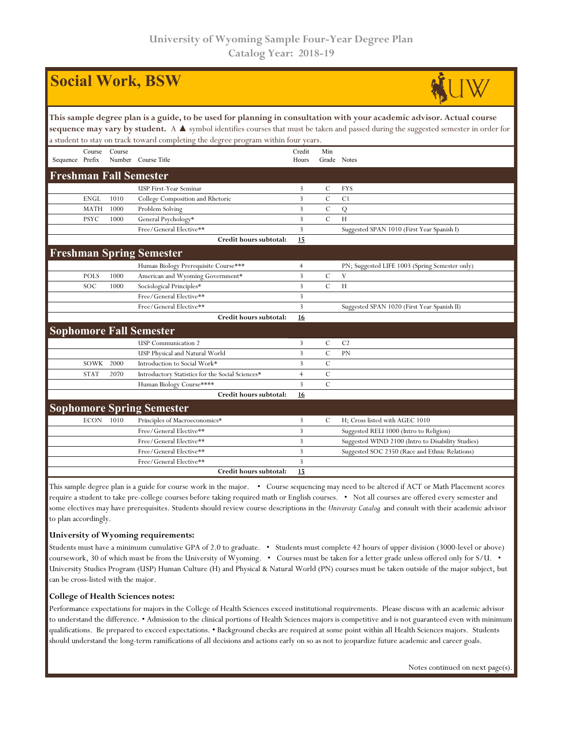| <b>Social Work, BSW</b>                                                                                                                                                                                                                                                                                                                             |             |        |                                                  |                 |                    |                                                   |  |  |  |  |
|-----------------------------------------------------------------------------------------------------------------------------------------------------------------------------------------------------------------------------------------------------------------------------------------------------------------------------------------------------|-------------|--------|--------------------------------------------------|-----------------|--------------------|---------------------------------------------------|--|--|--|--|
| This sample degree plan is a guide, to be used for planning in consultation with your academic advisor. Actual course<br>sequence may vary by student. A ▲ symbol identifies courses that must be taken and passed during the suggested semester in order for<br>a student to stay on track toward completing the degree program within four years. |             |        |                                                  |                 |                    |                                                   |  |  |  |  |
| Sequence Prefix                                                                                                                                                                                                                                                                                                                                     | Course      | Course | Number Course Title                              | Credit<br>Hours | Min<br>Grade Notes |                                                   |  |  |  |  |
|                                                                                                                                                                                                                                                                                                                                                     |             |        | <b>Freshman Fall Semester</b>                    |                 |                    |                                                   |  |  |  |  |
|                                                                                                                                                                                                                                                                                                                                                     |             |        | USP First-Year Seminar                           | 3               | C                  | <b>FYS</b>                                        |  |  |  |  |
|                                                                                                                                                                                                                                                                                                                                                     | <b>ENGL</b> | 1010   | College Composition and Rhetoric                 | 3               | $\mathcal{C}$      | C <sub>1</sub>                                    |  |  |  |  |
|                                                                                                                                                                                                                                                                                                                                                     | <b>MATH</b> | 1000   | Problem Solving                                  | 3               | $\mathcal{C}$      | Q                                                 |  |  |  |  |
|                                                                                                                                                                                                                                                                                                                                                     | <b>PSYC</b> | 1000   | General Psychology*                              | 3               | $\overline{C}$     | H                                                 |  |  |  |  |
|                                                                                                                                                                                                                                                                                                                                                     |             |        | Free/General Elective**                          | 3               |                    | Suggested SPAN 1010 (First Year Spanish I)        |  |  |  |  |
|                                                                                                                                                                                                                                                                                                                                                     |             |        | Credit hours subtotal:                           | 15              |                    |                                                   |  |  |  |  |
|                                                                                                                                                                                                                                                                                                                                                     |             |        | <b>Freshman Spring Semester</b>                  |                 |                    |                                                   |  |  |  |  |
|                                                                                                                                                                                                                                                                                                                                                     |             |        | Human Biology Prerequisite Course***             | $\overline{4}$  |                    | PN; Suggested LIFE 1003 (Spring Semester only)    |  |  |  |  |
|                                                                                                                                                                                                                                                                                                                                                     | <b>POLS</b> | 1000   | American and Wyoming Government*                 | 3               | $\cal C$           | V                                                 |  |  |  |  |
|                                                                                                                                                                                                                                                                                                                                                     | SOC         | 1000   | Sociological Principles*                         | 3               | $\mathcal{C}$      | H                                                 |  |  |  |  |
|                                                                                                                                                                                                                                                                                                                                                     |             |        | Free/General Elective**                          | 3               |                    |                                                   |  |  |  |  |
|                                                                                                                                                                                                                                                                                                                                                     |             |        | Free/General Elective**                          | 3               |                    | Suggested SPAN 1020 (First Year Spanish II)       |  |  |  |  |
|                                                                                                                                                                                                                                                                                                                                                     |             |        | Credit hours subtotal:                           | <u>16</u>       |                    |                                                   |  |  |  |  |
|                                                                                                                                                                                                                                                                                                                                                     |             |        | <b>Sophomore Fall Semester</b>                   |                 |                    |                                                   |  |  |  |  |
|                                                                                                                                                                                                                                                                                                                                                     |             |        | <b>USP</b> Communication 2                       | 3               | $\mathbf C$        | C <sub>2</sub>                                    |  |  |  |  |
|                                                                                                                                                                                                                                                                                                                                                     |             |        | USP Physical and Natural World                   | 3               | $\mathcal{C}$      | PN                                                |  |  |  |  |
|                                                                                                                                                                                                                                                                                                                                                     | SOWK        | 2000   | Introduction to Social Work*                     | 3               | $\overline{C}$     |                                                   |  |  |  |  |
|                                                                                                                                                                                                                                                                                                                                                     | <b>STAT</b> | 2070   | Introductory Statistics for the Social Sciences* | $\overline{4}$  | $\mathcal{C}$      |                                                   |  |  |  |  |
|                                                                                                                                                                                                                                                                                                                                                     |             |        | Human Biology Course****                         | 3               | $\mathcal{C}$      |                                                   |  |  |  |  |
|                                                                                                                                                                                                                                                                                                                                                     |             |        | Credit hours subtotal:                           | 16              |                    |                                                   |  |  |  |  |
|                                                                                                                                                                                                                                                                                                                                                     |             |        | <b>Sophomore Spring Semester</b>                 |                 |                    |                                                   |  |  |  |  |
|                                                                                                                                                                                                                                                                                                                                                     | <b>ECON</b> | 1010   | Principles of Macroeconomics*                    | 3               | $\mathcal{C}$      | H; Cross listed with AGEC 1010                    |  |  |  |  |
|                                                                                                                                                                                                                                                                                                                                                     |             |        | Free/General Elective**                          | 3               |                    | Suggested RELI 1000 (Intro to Religion)           |  |  |  |  |
|                                                                                                                                                                                                                                                                                                                                                     |             |        | Free/General Elective**                          | 3               |                    | Suggested WIND 2100 (Intro to Disability Studies) |  |  |  |  |
|                                                                                                                                                                                                                                                                                                                                                     |             |        | Free/General Elective**                          | 3               |                    | Suggested SOC 2350 (Race and Ethnic Relations)    |  |  |  |  |
|                                                                                                                                                                                                                                                                                                                                                     |             |        | Free/General Elective**                          | 3               |                    |                                                   |  |  |  |  |
|                                                                                                                                                                                                                                                                                                                                                     |             |        | Credit hours subtotal:                           | 15              |                    |                                                   |  |  |  |  |
| Flato accordo de anos eden to a antida foi compo creada in the mator. I<br>Course convenience were poorly to be altered if ACT on Math Dlagon and                                                                                                                                                                                                   |             |        |                                                  |                 |                    |                                                   |  |  |  |  |

This sample degree plan is a guide for course work in the major. • Course sequencing may need to be altered if ACT or Math Placement scores require a student to take pre-college courses before taking required math or English courses. • Not all courses are offered every semester and some electives may have prerequisites. Students should review course descriptions in the *University Catalog* and consult with their academic advisor to plan accordingly.

## **University of Wyoming requirements:**

Students must have a minimum cumulative GPA of 2.0 to graduate. • Students must complete 42 hours of upper division (3000-level or above) coursework, 30 of which must be from the University of Wyoming. • Courses must be taken for a letter grade unless offered only for S/U. • University Studies Program (USP) Human Culture (H) and Physical & Natural World (PN) courses must be taken outside of the major subject, but can be cross-listed with the major.

## **College of Health Sciences notes:**

Performance expectations for majors in the College of Health Sciences exceed institutional requirements. Please discuss with an academic advisor to understand the difference. • Admission to the clinical portions of Health Sciences majors is competitive and is not guaranteed even with minimum qualifications. Be prepared to exceed expectations. • Background checks are required at some point within all Health Sciences majors. Students should understand the long-term ramifications of all decisions and actions early on so as not to jeopardize future academic and career goals.